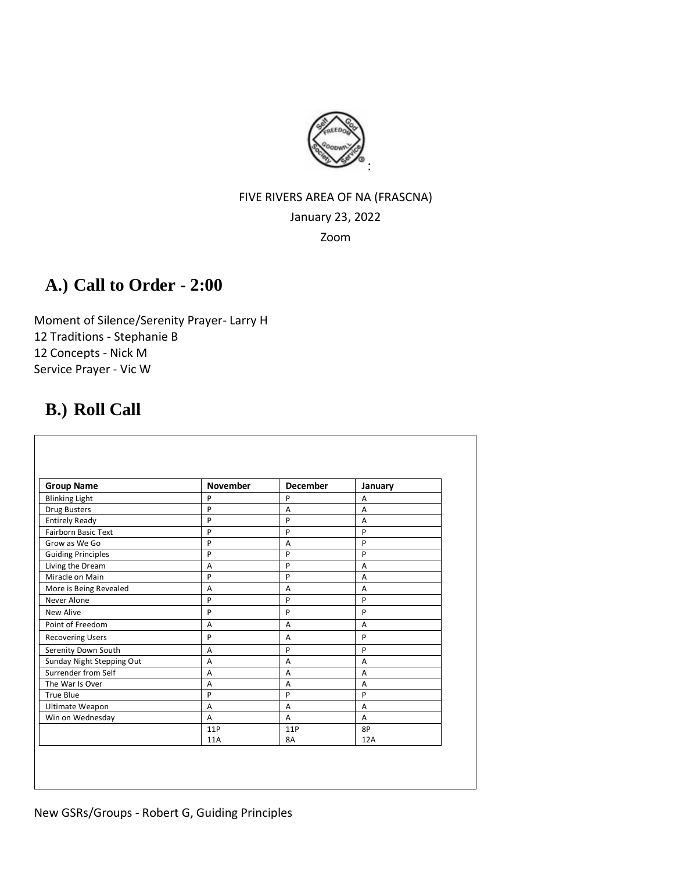

## FIVE RIVERS AREA OF NA (FRASCNA) January 23, 2022

Zoom

## **A.) Call to Order - 2:00**

Moment of Silence/Serenity Prayer- Larry H 12 Traditions - Stephanie B 12 Concepts - Nick M Service Prayer - Vic W

## **B.) Roll Call**

| <b>Group Name</b>          | <b>November</b> | <b>December</b> | January        |
|----------------------------|-----------------|-----------------|----------------|
| <b>Blinking Light</b>      | P               | P               | Α              |
| <b>Drug Busters</b>        | P               | A               | $\overline{A}$ |
| <b>Entirely Ready</b>      | P               | P               | $\overline{A}$ |
| <b>Fairborn Basic Text</b> | P               | P               | P              |
| Grow as We Go              | P               | $\overline{A}$  | P              |
| <b>Guiding Principles</b>  | P               | P               | P              |
| Living the Dream           | A               | P               | $\overline{A}$ |
| Miracle on Main            | P               | P               | $\overline{A}$ |
| More is Being Revealed     | $\overline{A}$  | A               | A              |
| Never Alone                | P               | P               | P              |
| New Alive                  | P               | P               | P              |
| Point of Freedom           | A               | A               | A              |
| <b>Recovering Users</b>    | P               | A               | P              |
| Serenity Down South        | A               | P               | P              |
| Sunday Night Stepping Out  | A               | A               | A              |
| Surrender from Self        | A               | A               | $\overline{A}$ |
| The War Is Over            | A               | A               | $\overline{A}$ |
| True Blue                  | P               | P               | P              |
| <b>Ultimate Weapon</b>     | A               | A               | $\overline{A}$ |
| Win on Wednesday           | A               | A               | A              |
|                            | 11P             | 11P             | 8P             |
|                            | 11A             | 8A              | 12A            |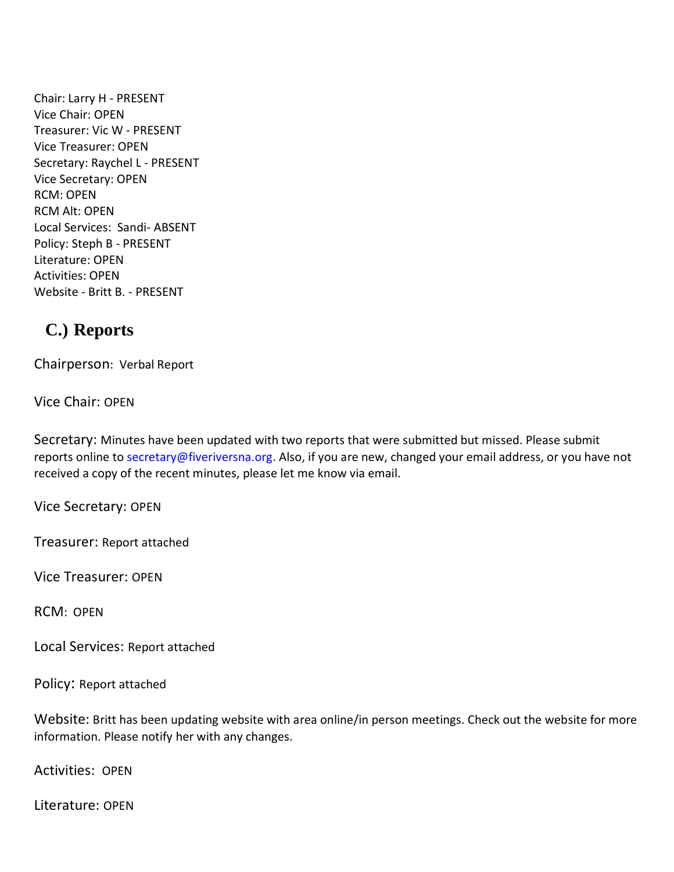Chair: Larry H - PRESENT Vice Chair: OPEN Treasurer: Vic W - PRESENT Vice Treasurer: OPEN Secretary: Raychel L - PRESENT Vice Secretary: OPEN RCM: OPEN RCM Alt: OPEN Local Services: Sandi- ABSENT Policy: Steph B - PRESENT Literature: OPEN Activities: OPEN Website - Britt B. - PRESENT

## **C.) Reports**

Chairperson: Verbal Report

Vice Chair: OPEN

Secretary: Minutes have been updated with two reports that were submitted but missed. Please submit reports online to [secretary@fiveriversna.org.](mailto:secretary@fiveriversna.org) Also, if you are new, changed your email address, or you have not received a copy of the recent minutes, please let me know via email.

Vice Secretary: OPEN

Treasurer: Report attached

Vice Treasurer: OPEN

RCM: OPEN

Local Services: Report attached

Policy: Report attached

Website: Britt has been updating website with area online/in person meetings. Check out the website for more information. Please notify her with any changes.

Activities: OPEN

Literature: OPEN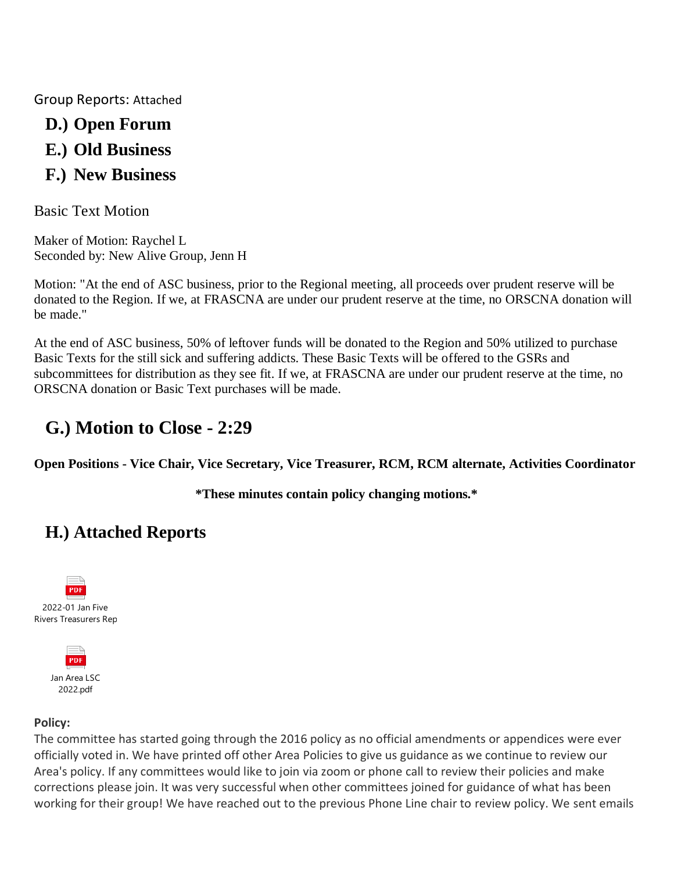Group Reports: Attached

- **D.) Open Forum**
- **E.) Old Business**
- **F.) New Business**

Basic Text Motion

Maker of Motion: Raychel L Seconded by: New Alive Group, Jenn H

Motion: "At the end of ASC business, prior to the Regional meeting, all proceeds over prudent reserve will be donated to the Region. If we, at FRASCNA are under our prudent reserve at the time, no ORSCNA donation will be made."

At the end of ASC business, 50% of leftover funds will be donated to the Region and 50% utilized to purchase Basic Texts for the still sick and suffering addicts. These Basic Texts will be offered to the GSRs and subcommittees for distribution as they see fit. If we, at FRASCNA are under our prudent reserve at the time, no ORSCNA donation or Basic Text purchases will be made.

# **G.) Motion to Close - 2:29**

**Open Positions - Vice Chair, Vice Secretary, Vice Treasurer, RCM, RCM alternate, Activities Coordinator**

**\*These minutes contain policy changing motions.\***

# **H.) Attached Reports**





## **Policy:**

The committee has started going through the 2016 policy as no official amendments or appendices were ever officially voted in. We have printed off other Area Policies to give us guidance as we continue to review our Area's policy. If any committees would like to join via zoom or phone call to review their policies and make corrections please join. It was very successful when other committees joined for guidance of what has been working for their group! We have reached out to the previous Phone Line chair to review policy. We sent emails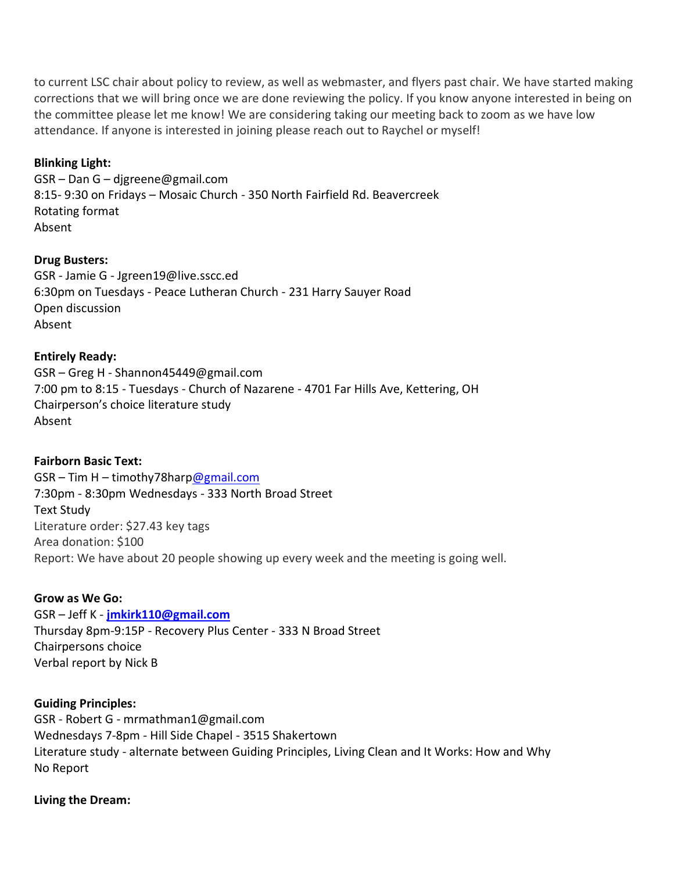to current LSC chair about policy to review, as well as webmaster, and flyers past chair. We have started making corrections that we will bring once we are done reviewing the policy. If you know anyone interested in being on the committee please let me know! We are considering taking our meeting back to zoom as we have low attendance. If anyone is interested in joining please reach out to Raychel or myself!

### **Blinking Light:**

GSR – Dan G – djgreene@gmail.com 8:15- 9:30 on Fridays – Mosaic Church - 350 North Fairfield Rd. Beavercreek Rotating format Absent

#### **Drug Busters:**

GSR - Jamie G - Jgreen19@live.sscc.ed 6:30pm on Tuesdays - Peace Lutheran Church - 231 Harry Sauyer Road Open discussion Absent

### **Entirely Ready:**

GSR – Greg H - Shannon45449@gmail.com 7:00 pm to 8:15 - Tuesdays - Church of Nazarene - 4701 Far Hills Ave, Kettering, OH Chairperson's choice literature study Absent

#### **Fairborn Basic Text:**

GSR – Tim H – timothy78har[p@gmail.com](mailto:amymcmahan76@gmail.com) 7:30pm - 8:30pm Wednesdays - 333 North Broad Street Text Study Literature order: \$27.43 key tags Area donation: \$100 Report: We have about 20 people showing up every week and the meeting is going well.

#### **Grow as We Go:**

#### GSR – Jeff K - **[jmkirk110@gmail.com](mailto:jmkirk110@gmail.com)**

Thursday 8pm-9:15P - Recovery Plus Center - 333 N Broad Street Chairpersons choice Verbal report by Nick B

#### **Guiding Principles:**

GSR - Robert G - mrmathman1@gmail.com Wednesdays 7-8pm - Hill Side Chapel - 3515 Shakertown Literature study - alternate between Guiding Principles, Living Clean and It Works: How and Why No Report

### **Living the Dream:**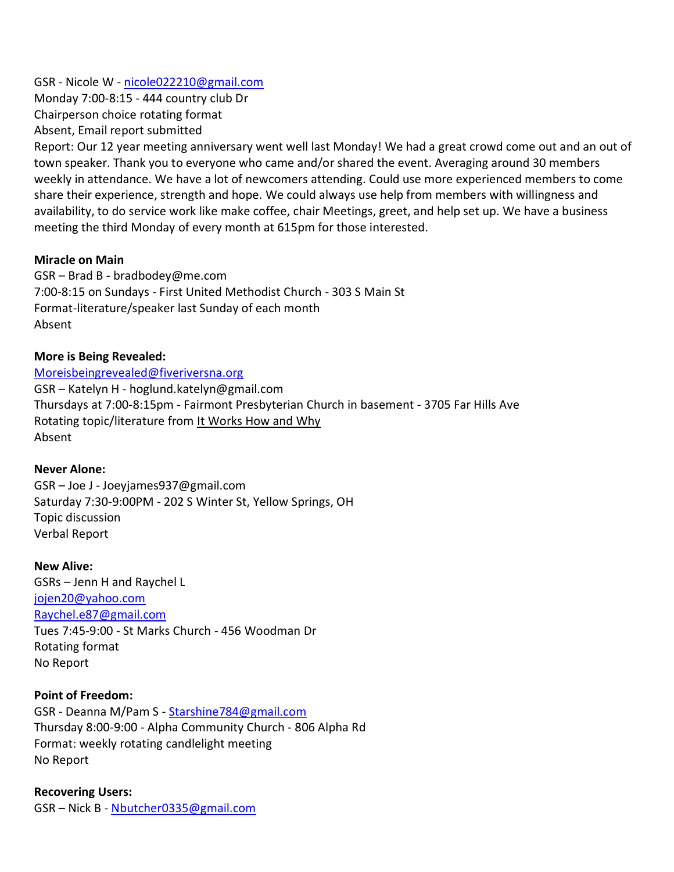GSR - Nicole W - [nicole022210@gmail.com](mailto:nicole022210@gmail.com) Monday 7:00-8:15 - 444 country club Dr Chairperson choice rotating format Absent, Email report submitted

Report: Our 12 year meeting anniversary went well last Monday! We had a great crowd come out and an out of town speaker. Thank you to everyone who came and/or shared the event. Averaging around 30 members weekly in attendance. We have a lot of newcomers attending. Could use more experienced members to come share their experience, strength and hope. We could always use help from members with willingness and availability, to do service work like make coffee, chair Meetings, greet, and help set up. We have a business meeting the third Monday of every month at 615pm for those interested.

#### **Miracle on Main**

GSR – Brad B - bradbodey@me.com 7:00-8:15 on Sundays - First United Methodist Church - 303 S Main St Format-literature/speaker last Sunday of each month Absent

#### **More is Being Revealed:**

[Moreisbeingrevealed@fiveriversna.org](mailto:Moreisbeingrevealed@fiveriversna.org) GSR – Katelyn H - hoglund.katelyn@gmail.com Thursdays at 7:00-8:15pm - Fairmont Presbyterian Church in basement - 3705 Far Hills Ave Rotating topic/literature from It Works How and Why Absent

#### **Never Alone:**

GSR – Joe J - Joeyjames937@gmail.com Saturday 7:30-9:00PM - 202 S Winter St, Yellow Springs, OH Topic discussion Verbal Report

**New Alive:** GSRs – Jenn H and Raychel L [jojen20@yahoo.com](mailto:jojen20@yahoo.com) Raychel.e87@gmail.com Tues 7:45-9:00 - St Marks Church - 456 Woodman Dr Rotating format No Report

#### **Point of Freedom:**

GSR - Deanna M/Pam S - [Starshine784@gmail.com](mailto:Starshine784@gmail.com) Thursday 8:00-9:00 - Alpha Community Church - 806 Alpha Rd Format: weekly rotating candlelight meeting No Report

**Recovering Users:** GSR – Nick B - [Nbutcher0335@gmail.com](mailto:Nbutcher0335@gmail.com)